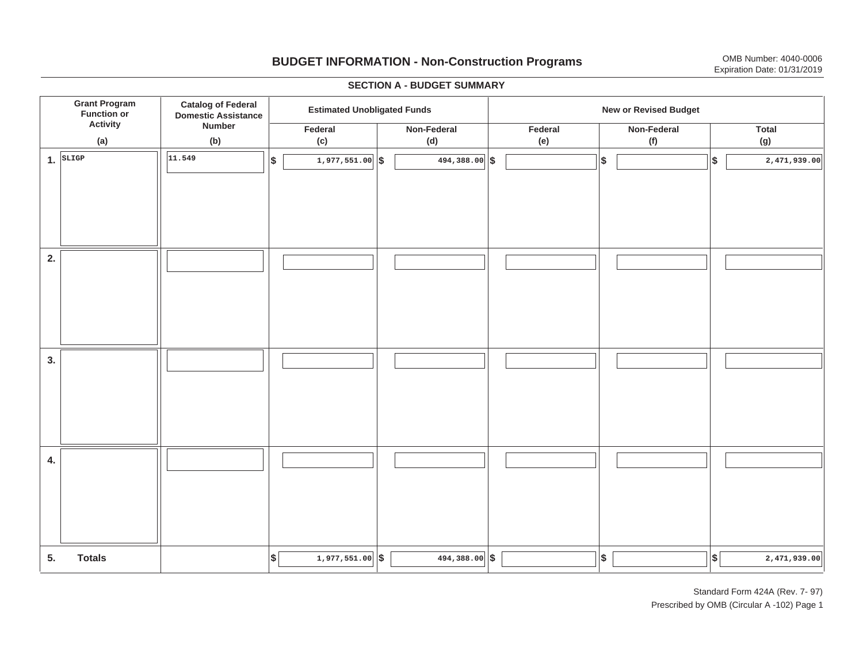## **BUDGET INFORMATION - Non-Construction Programs** OMB Number: 4040-0006 **Expiration Date: 01/31/2019**

**\$ Grant Program Function or Activity (a) Catalog of Federal Domestic Assistance Number (b) Estimated Unobligated Funds New or Revised Budget Federal (c) Non-Federal(d) Federal(e) Non-Federal (f) Total(g) 5. Totals4. 3. 2. 1.SLIGP**. SLIGP || |<sup>11.549</sup> | | \$ | 1,977,551.00||\$ | 494,388.00||\$ | | |\$ | ||\$ **\$ \$ \$ \$ 11.549 1,977,551.00 494,388.00 2,471,939.00 \$** 1,977,551.00 **\$** 494,388.00 **\$** 494, 1,889.00 **\$** 494,388.00 **\$** 494,388.00 **\$** 494,389.00 I I I I I I I I I I I I I I I I I I I I I I I I I I I I I I I I I I I I I I I I I I I I

#### **SECTION A - BUDGET SUMMARY**

Standard Form 424A (Rev. 7- 97) Prescribed by OMB (Circular A -102) Page 1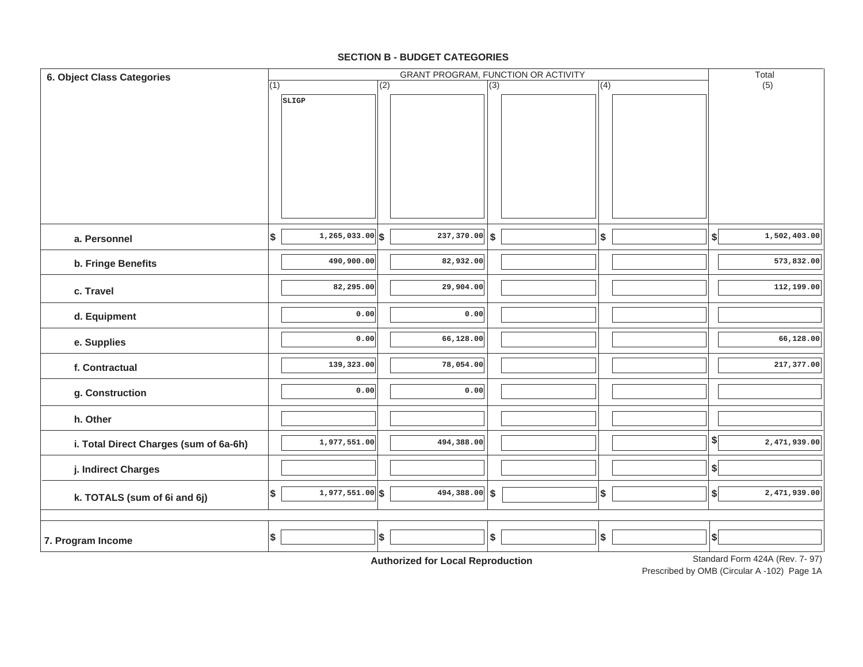#### **SECTION B - BUDGET CATEGORIES**

| 6. Object Class Categories             |     |                      |                  | Total                                      |                  |                   |                   |                                |
|----------------------------------------|-----|----------------------|------------------|--------------------------------------------|------------------|-------------------|-------------------|--------------------------------|
|                                        | (1) |                      | $\overline{(2)}$ |                                            | $\overline{(3)}$ | (4)               |                   | (5)                            |
|                                        |     | SLIGP                |                  |                                            |                  |                   |                   |                                |
| a. Personnel                           | \$  | $1, 265, 033.00$ \\$ |                  | $\overline{237,370.00}$ \$                 |                  | \$                | $\boldsymbol{\$}$ | 1,502,403.00                   |
| b. Fringe Benefits                     |     | 490,900.00           |                  | 82,932.00                                  |                  |                   |                   | 573,832.00                     |
| c. Travel                              |     | 82,295.00            |                  | 29,904.00                                  |                  |                   |                   | 112,199.00                     |
| d. Equipment                           |     | 0.00                 |                  | 0.00                                       |                  |                   |                   |                                |
| e. Supplies                            |     | 0.00                 |                  | 66,128.00                                  |                  |                   |                   | 66,128.00                      |
| f. Contractual                         |     | 139,323.00           |                  | 78,054.00                                  |                  |                   |                   | 217,377.00                     |
| g. Construction                        |     | 0.00                 |                  | 0.00                                       |                  |                   |                   |                                |
| h. Other                               |     |                      |                  |                                            |                  |                   |                   |                                |
| i. Total Direct Charges (sum of 6a-6h) |     | 1,977,551.00         |                  | 494,388.00                                 |                  |                   | \$                | 2,471,939.00                   |
| j. Indirect Charges                    |     |                      |                  |                                            |                  |                   | $\boldsymbol{\$}$ |                                |
| k. TOTALS (sum of 6i and 6j)           | \$  | $1,977,551.00$ \$    |                  | $494,388.00$ \$                            |                  | $\boldsymbol{\$}$ | $\left  \right $  | 2,471,939.00                   |
| 7. Program Income                      | \$  |                      | \$               | A contraction of Asia Indian<br>$-1$ m $-$ | \$               | $$\mathbb{S}$$    | $\vert$ \$        | Standard Form 424A (Rev. 7-07) |

**Authorized for Local Reproduction**

Standard Form 424A (Rev. 7- 97)

Prescribed by OMB (Circular A -102) Page 1A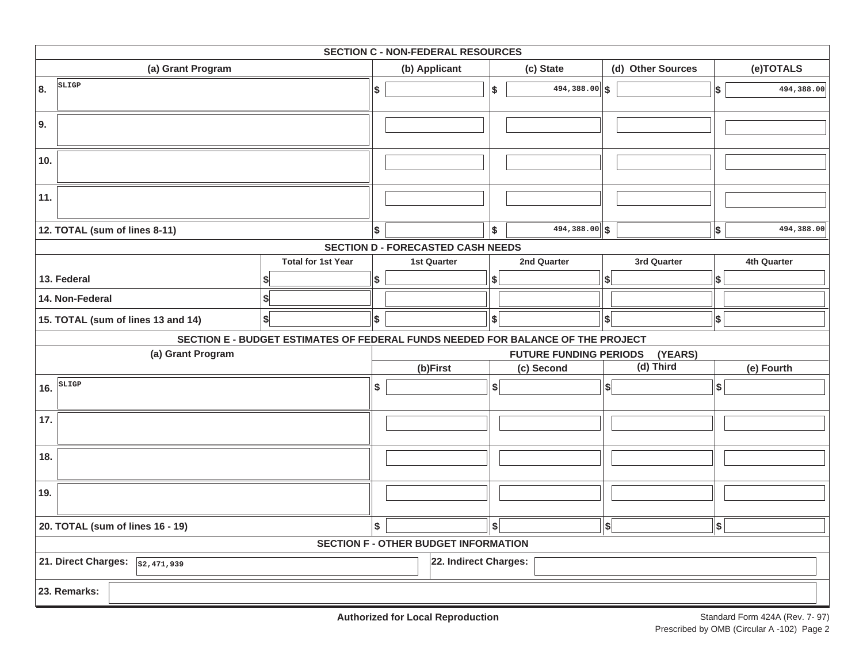| <b>SECTION C - NON-FEDERAL RESOURCES</b>         |                                                                                 |    |                                             |                          |                               |                   |                           |             |  |  |  |
|--------------------------------------------------|---------------------------------------------------------------------------------|----|---------------------------------------------|--------------------------|-------------------------------|-------------------|---------------------------|-------------|--|--|--|
| (a) Grant Program                                |                                                                                 |    | (b) Applicant                               |                          | (c) State                     | (d) Other Sources |                           | (e)TOTALS   |  |  |  |
| SLIGP<br>8.                                      |                                                                                 | \$ |                                             | \$                       | $\overline{494,388.00}$ \$    |                   | \$                        | 494,388.00  |  |  |  |
| 9.                                               |                                                                                 |    |                                             |                          |                               |                   |                           |             |  |  |  |
| 10.                                              |                                                                                 |    |                                             |                          |                               |                   |                           |             |  |  |  |
| 11.                                              |                                                                                 |    |                                             |                          |                               |                   |                           |             |  |  |  |
| 12. TOTAL (sum of lines 8-11)                    |                                                                                 | \$ |                                             | Ι\$                      | $494,388.00$ \$               |                   | \$                        | 494,388.00  |  |  |  |
|                                                  |                                                                                 |    | <b>SECTION D - FORECASTED CASH NEEDS</b>    |                          |                               |                   |                           |             |  |  |  |
|                                                  | <b>Total for 1st Year</b>                                                       |    | <b>1st Quarter</b>                          |                          | 2nd Quarter                   | 3rd Quarter       |                           | 4th Quarter |  |  |  |
| 13. Federal                                      |                                                                                 | \$ |                                             | \$                       |                               | \$                | \$                        |             |  |  |  |
| 14. Non-Federal                                  |                                                                                 |    |                                             |                          |                               |                   |                           |             |  |  |  |
| 15. TOTAL (sum of lines 13 and 14)               | \$                                                                              | \$ |                                             | \$                       |                               | $\boldsymbol{s}$  | $\boldsymbol{\mathsf{s}}$ |             |  |  |  |
|                                                  | SECTION E - BUDGET ESTIMATES OF FEDERAL FUNDS NEEDED FOR BALANCE OF THE PROJECT |    |                                             |                          |                               |                   |                           |             |  |  |  |
| (a) Grant Program                                |                                                                                 |    |                                             |                          | <b>FUTURE FUNDING PERIODS</b> | (YEARS)           |                           |             |  |  |  |
|                                                  |                                                                                 |    | (b)First                                    |                          | (c) Second                    | (d) Third         |                           | (e) Fourth  |  |  |  |
| SLIGP<br>16.                                     |                                                                                 | \$ |                                             | \$                       |                               | $\left  \right $  | \$                        |             |  |  |  |
| 17.                                              |                                                                                 |    |                                             |                          |                               |                   |                           |             |  |  |  |
| 18.                                              |                                                                                 |    |                                             |                          |                               |                   |                           |             |  |  |  |
| 19.                                              |                                                                                 |    |                                             |                          |                               |                   |                           |             |  |  |  |
| 20. TOTAL (sum of lines 16 - 19)                 |                                                                                 | \$ |                                             | $\vert \mathsf{s} \vert$ |                               | $\left  \right $  | \$                        |             |  |  |  |
|                                                  |                                                                                 |    | <b>SECTION F - OTHER BUDGET INFORMATION</b> |                          |                               |                   |                           |             |  |  |  |
| 21. Direct Charges: $\sqrt{\frac{22,471,939}{}}$ |                                                                                 |    | 22. Indirect Charges:                       |                          |                               |                   |                           |             |  |  |  |
| 23. Remarks:                                     |                                                                                 |    |                                             |                          |                               |                   |                           |             |  |  |  |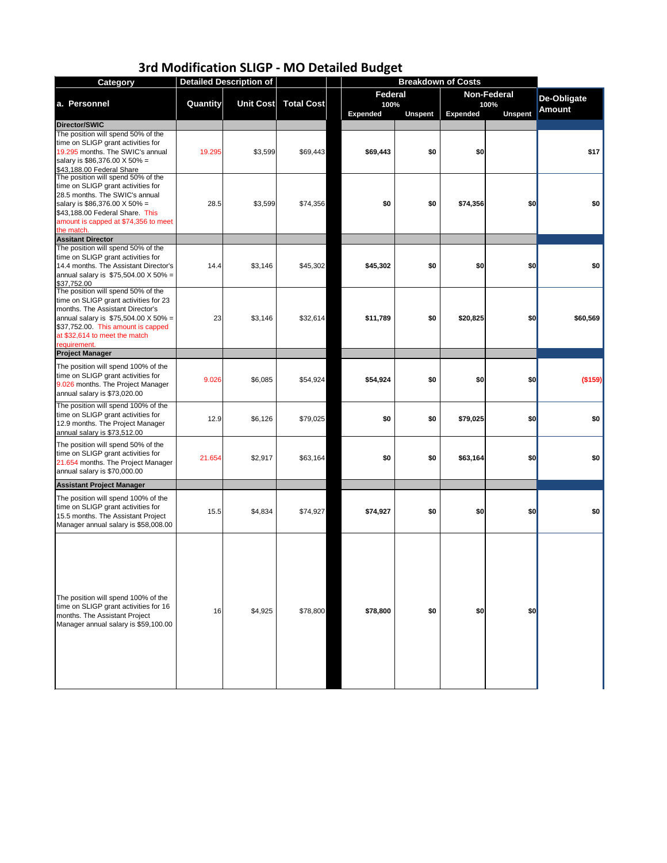| <b>Category</b>                                                                                                                                                                                                                                       |                 | <b>Detailed Description of</b> |                   |                        |                | <b>Breakdown of Costs</b> |                            |                    |
|-------------------------------------------------------------------------------------------------------------------------------------------------------------------------------------------------------------------------------------------------------|-----------------|--------------------------------|-------------------|------------------------|----------------|---------------------------|----------------------------|--------------------|
| a. Personnel                                                                                                                                                                                                                                          | <b>Quantity</b> | <b>Unit Cost</b>               | <b>Total Cost</b> | <b>Federal</b><br>100% |                |                           | <b>Non-Federal</b><br>100% | <b>De-Obligate</b> |
|                                                                                                                                                                                                                                                       |                 |                                |                   | <b>Expended</b>        | <b>Unspent</b> | <b>Expended</b>           | <b>Unspent</b>             | <b>Amount</b>      |
| Director/SWIC                                                                                                                                                                                                                                         |                 |                                |                   |                        |                |                           |                            |                    |
| The position will spend 50% of the<br>time on SLIGP grant activities for<br>19.295 months. The SWIC's annual<br>salary is \$86,376.00 X 50% =<br>\$43,188.00 Federal Share                                                                            | 19.295          | \$3,599                        | \$69,443          | \$69,443               | \$0            | \$0                       |                            | \$17               |
| The position will spend 50% of the<br>time on SLIGP grant activities for<br>28.5 months. The SWIC's annual<br>salary is \$86,376.00 X 50% =<br>\$43,188.00 Federal Share. This<br>amount is capped at \$74,356 to meet<br>the match.                  | 28.5            | \$3,599                        | \$74,356          | \$0                    | \$0            | \$74,356                  | \$0                        | \$0                |
| <b>Assitant Director</b>                                                                                                                                                                                                                              |                 |                                |                   |                        |                |                           |                            |                    |
| The position will spend 50% of the<br>time on SLIGP grant activities for<br>14.4 months. The Assistant Director's<br>annual salary is $$75,504.00 \times 50\% =$<br>\$37,752.00                                                                       | 14.4            | \$3,146                        | \$45,302          | \$45,302               | \$0            | \$0                       | \$0                        | \$0                |
| The position will spend 50% of the<br>time on SLIGP grant activities for 23<br>months. The Assistant Director's<br>annual salary is $$75,504.00 \times 50\% =$<br>\$37,752.00. This amount is capped<br>at \$32,614 to meet the match<br>requirement. | 23              | \$3,146                        | \$32,614          | \$11,789               | \$0            | \$20,825                  | \$0                        | \$60,569           |
| <b>Project Manager</b>                                                                                                                                                                                                                                |                 |                                |                   |                        |                |                           |                            |                    |
| The position will spend 100% of the<br>time on SLIGP grant activities for<br>9.026 months. The Project Manager<br>annual salary is \$73,020.00                                                                                                        | 9.026           | \$6,085                        | \$54,924          | \$54,924               | \$0            | \$0                       | \$0                        | (\$159)            |
| The position will spend 100% of the<br>time on SLIGP grant activities for<br>12.9 months. The Project Manager<br>annual salary is \$73,512.00                                                                                                         | 12.9            | \$6,126                        | \$79,025          | \$0                    | \$0            | \$79,025                  | \$0                        | \$0                |
| The position will spend 50% of the<br>time on SLIGP grant activities for<br>21.654 months. The Project Manager<br>annual salary is \$70,000.00                                                                                                        | 21.654          | \$2,917                        | \$63,164          | \$0                    | \$0            | \$63,164                  | \$0                        | \$0                |
| <b>Assistant Project Manager</b>                                                                                                                                                                                                                      |                 |                                |                   |                        |                |                           |                            |                    |
| The position will spend 100% of the<br>time on SLIGP grant activities for<br>15.5 months. The Assistant Project<br>Manager annual salary is \$58,008.00                                                                                               | 15.5            | \$4,834                        | \$74,927          | \$74,927               | \$0            | \$0                       | \$0                        | \$0                |
| The position will spend 100% of the<br>time on SLIGP grant activities for 16<br>months. The Assistant Project<br>Manager annual salary is \$59,100.00                                                                                                 | 16              | \$4,925                        | \$78,800          | \$78,800               | \$0            | \$0                       | \$0                        |                    |

# **3rd Modification SLIGP - MO Detailed Budget**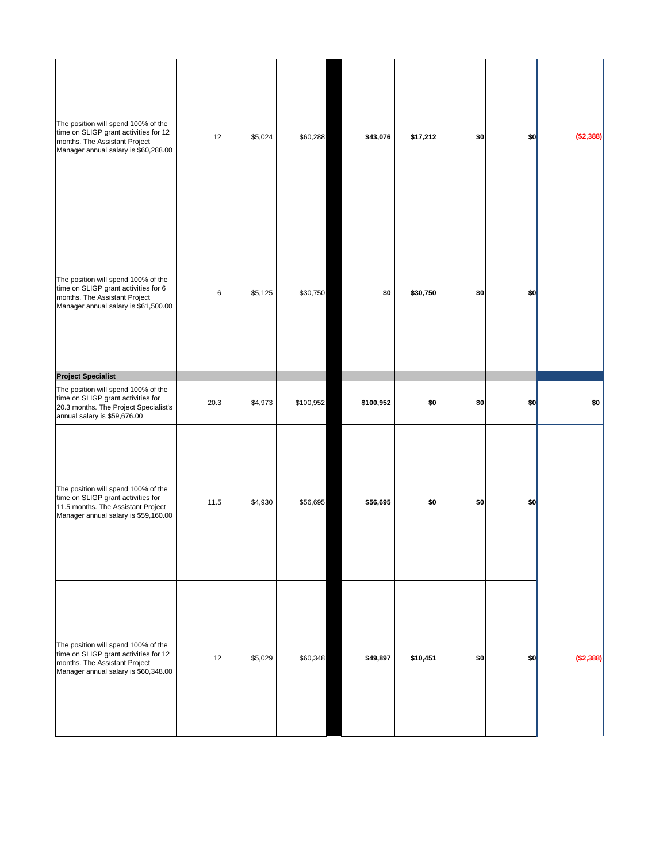| The position will spend 100% of the<br>time on SLIGP grant activities for 12<br>months. The Assistant Project<br>Manager annual salary is \$60,288.00   | 12   | \$5,024 | \$60,288  | \$43,076  | \$17,212 | \$0 | \$0 | (\$2,388) |
|---------------------------------------------------------------------------------------------------------------------------------------------------------|------|---------|-----------|-----------|----------|-----|-----|-----------|
| The position will spend 100% of the<br>time on SLIGP grant activities for 6<br>months. The Assistant Project<br>Manager annual salary is \$61,500.00    | 6    | \$5,125 | \$30,750  | \$0       | \$30,750 | \$0 | \$0 |           |
| <b>Project Specialist</b>                                                                                                                               |      |         |           |           |          |     |     |           |
| The position will spend 100% of the<br>time on SLIGP grant activities for<br>20.3 months. The Project Specialist's<br>annual salary is \$59,676.00      | 20.3 | \$4,973 | \$100,952 | \$100,952 | \$0      | \$0 | \$0 | \$0       |
| The position will spend 100% of the<br>time on SLIGP grant activities for<br>11.5 months. The Assistant Project<br>Manager annual salary is \$59,160.00 | 11.5 | \$4,930 | \$56,695  | \$56,695  | \$0      | \$0 | \$0 |           |
|                                                                                                                                                         |      |         |           |           |          |     |     |           |

| The position will spend 100% of the<br>time on SLIGP grant activities for 12<br>months. The Assistant Project<br>Manager annual salary is \$60,348.00 | 12 | \$5,029 | \$60,348 | \$49,897 | \$10,451 | \$0 | \$0 | ( \$2,388) |
|-------------------------------------------------------------------------------------------------------------------------------------------------------|----|---------|----------|----------|----------|-----|-----|------------|
|                                                                                                                                                       |    |         |          |          |          |     |     |            |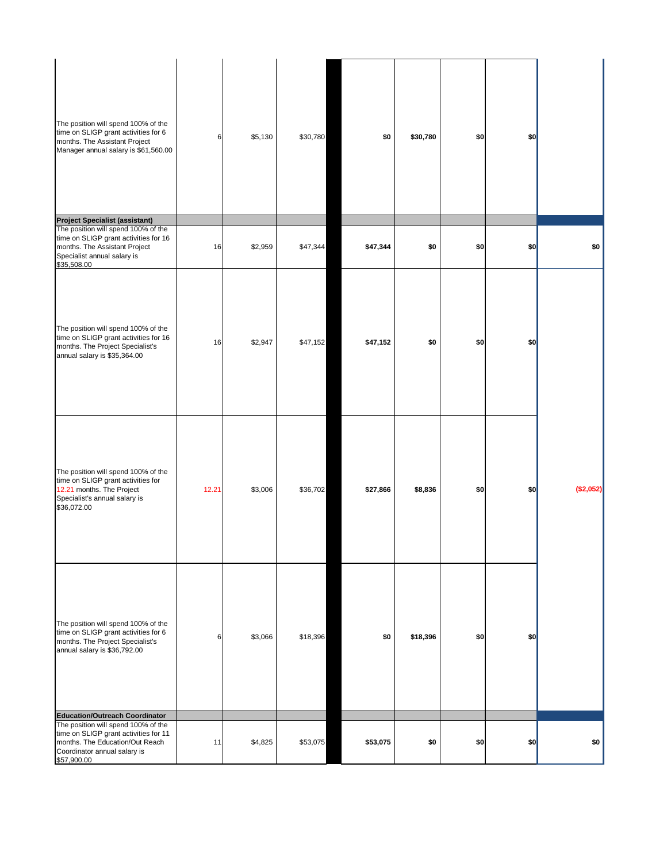| The position will spend 100% of the<br>time on SLIGP grant activities for 6<br>months. The Assistant Project<br>Manager annual salary is \$61,560.00                                                    | 6     | \$5,130 | \$30,780 | \$0      | \$30,780 | \$0 | \$0 |           |
|---------------------------------------------------------------------------------------------------------------------------------------------------------------------------------------------------------|-------|---------|----------|----------|----------|-----|-----|-----------|
| <b>Project Specialist (assistant)</b>                                                                                                                                                                   |       |         |          |          |          |     |     |           |
| The position will spend 100% of the<br>time on SLIGP grant activities for 16<br>months. The Assistant Project<br>Specialist annual salary is<br>\$35,508.00                                             | 16    | \$2,959 | \$47,344 | \$47,344 | \$0      | \$0 | \$0 | \$0       |
| The position will spend 100% of the<br>time on SLIGP grant activities for 16<br>months. The Project Specialist's<br>annual salary is \$35,364.00                                                        | 16    | \$2,947 | \$47,152 | \$47,152 | \$0      | \$0 | \$0 |           |
| The position will spend 100% of the<br>time on SLIGP grant activities for<br>12.21 months. The Project<br>Specialist's annual salary is<br>\$36,072.00                                                  | 12.21 | \$3,006 | \$36,702 | \$27,866 | \$8,836  | \$0 | \$0 | (\$2,052) |
| The position will spend 100% of the<br>time on SLIGP grant activities for 6<br>months. The Project Specialist's<br>annual salary is \$36,792.00                                                         | 6     | \$3,066 | \$18,396 | \$0      | \$18,396 | \$0 | \$0 |           |
| <b>Education/Outreach Coordinator</b><br>The position will spend 100% of the<br>time on SLIGP grant activities for 11<br>months. The Education/Out Reach<br>Coordinator annual salary is<br>\$57,900.00 | 11    | \$4,825 | \$53,075 | \$53,075 | \$0      | \$0 | \$0 | \$0       |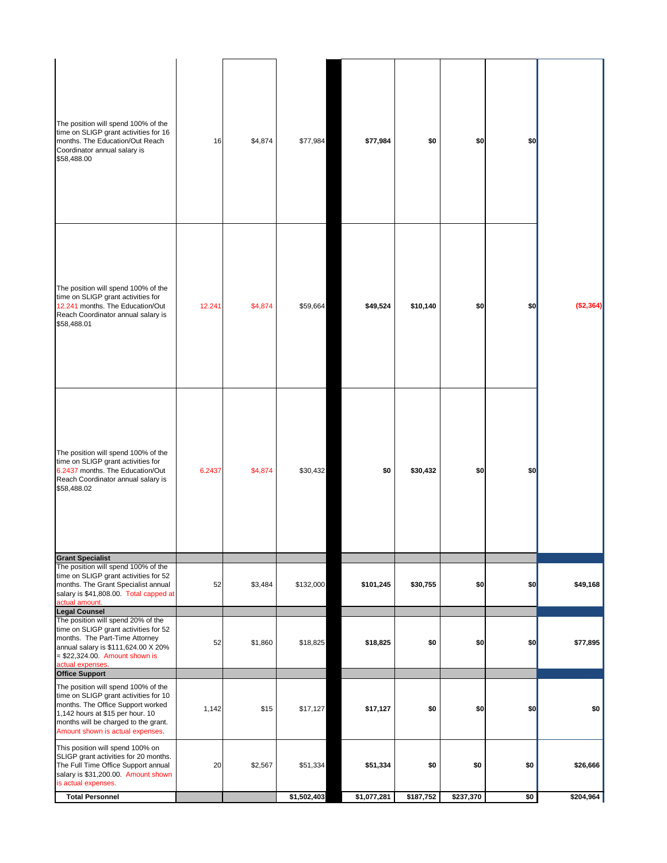| The position will spend 100% of the<br>time on SLIGP grant activities for 16<br>months. The Education/Out Reach<br>Coordinator annual salary is<br>\$58,488.00                                                                        | 16     | \$4,874 | \$77,984    | \$77,984    | \$0       | \$0       | \$0 |           |
|---------------------------------------------------------------------------------------------------------------------------------------------------------------------------------------------------------------------------------------|--------|---------|-------------|-------------|-----------|-----------|-----|-----------|
| The position will spend 100% of the<br>time on SLIGP grant activities for<br>12.241 months. The Education/Out<br>Reach Coordinator annual salary is<br>\$58,488.01                                                                    | 12.241 | \$4,874 | \$59,664    | \$49,524    | \$10,140  | \$0       | \$0 | (\$2,364) |
| The position will spend 100% of the<br>time on SLIGP grant activities for<br>6.2437 months. The Education/Out<br>Reach Coordinator annual salary is<br>\$58,488.02                                                                    | 6.2437 | \$4,874 | \$30,432    | \$0         | \$30,432  | \$0       | \$0 |           |
| <b>Grant Specialist</b><br>The position will spend 100% of the<br>time on SLIGP grant activities for 52<br>months. The Grant Specialist annual<br>salary is \$41,808.00. Total capped at<br>actual amount.<br><b>Legal Counsel</b>    | 52     | \$3,484 | \$132,000   | \$101,245   | \$30,755  | \$0       | \$0 | \$49,168  |
| The position will spend 20% of the<br>time on SLIGP grant activities for 52<br>months. The Part-Time Attorney<br>annual salary is \$111,624.00 X 20%<br>$= $22,324.00$ . Amount shown is<br>actual expenses.<br><b>Office Support</b> | 52     | \$1,860 | \$18,825    | \$18,825    | \$0       | \$0       | \$0 | \$77,895  |
| The position will spend 100% of the<br>time on SLIGP grant activities for 10<br>months. The Office Support worked<br>1,142 hours at \$15 per hour. 10<br>months will be charged to the grant.<br>Amount shown is actual expenses.     | 1,142  | \$15    | \$17,127    | \$17,127    | \$0       | \$0       | \$0 | \$0       |
| This position will spend 100% on<br>SLIGP grant activities for 20 months.<br>The Full Time Office Support annual<br>salary is \$31,200.00. Amount shown<br>is actual expenses.                                                        | 20     | \$2,567 | \$51,334    | \$51,334    | \$0       | \$0       | \$0 | \$26,666  |
| <b>Total Personnel</b>                                                                                                                                                                                                                |        |         | \$1,502,403 | \$1,077,281 | \$187,752 | \$237,370 | \$0 | \$204,964 |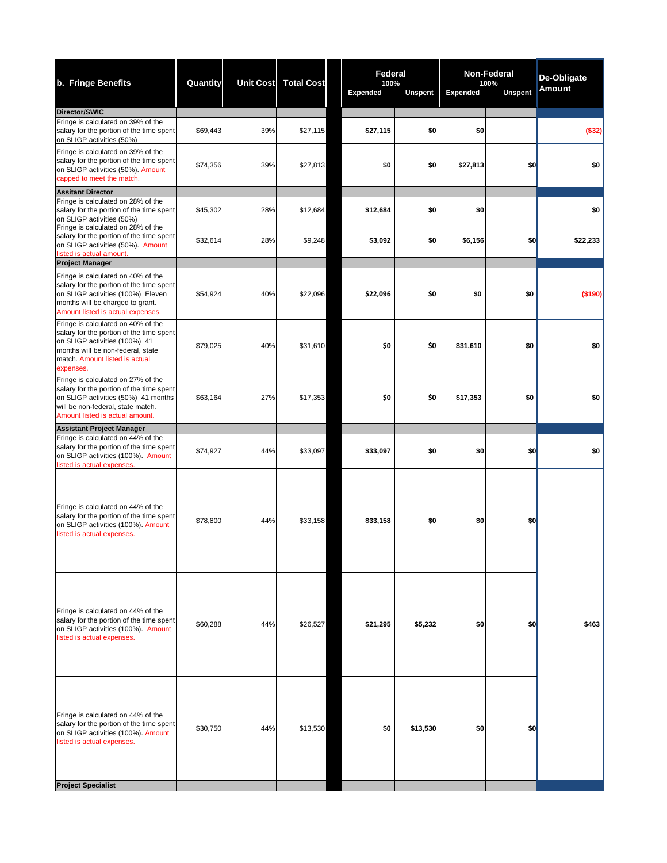| b. Fringe Benefits                                                                                                                                                                                  | <b>Quantity</b> |     | Unit Cost Total Cost | <b>Federal</b><br>100%<br><b>Expended</b> | <b>Unspent</b> | <b>Non-Federal</b><br>100%<br><b>Unspent</b><br><b>Expended</b> |     | <b>De-Obligate</b><br><b>Amount</b> |
|-----------------------------------------------------------------------------------------------------------------------------------------------------------------------------------------------------|-----------------|-----|----------------------|-------------------------------------------|----------------|-----------------------------------------------------------------|-----|-------------------------------------|
| Director/SWIC                                                                                                                                                                                       |                 |     |                      |                                           |                |                                                                 |     |                                     |
| Fringe is calculated on 39% of the<br>salary for the portion of the time spent<br>on SLIGP activities (50%)                                                                                         | \$69,443        | 39% | \$27,115             | \$27,115                                  | \$0            | \$0                                                             |     | (\$32)                              |
| Fringe is calculated on 39% of the<br>salary for the portion of the time spent<br>on SLIGP activities (50%). Amount<br>capped to meet the match.                                                    | \$74,356        | 39% | \$27,813             | \$0                                       | \$0            | \$27,813                                                        | \$0 | \$0                                 |
| <b>Assitant Director</b><br>Fringe is calculated on 28% of the<br>salary for the portion of the time spent<br>on SLIGP activities (50%)                                                             | \$45,302        | 28% | \$12,684             | \$12,684                                  | \$0            | \$0                                                             |     | \$0                                 |
| Fringe is calculated on 28% of the<br>salary for the portion of the time spent<br>on SLIGP activities (50%). Amount<br>listed is actual amount.                                                     | \$32,614        | 28% | \$9,248              | \$3,092                                   | \$0            | \$6,156                                                         | \$0 | \$22,233                            |
| <b>Project Manager</b>                                                                                                                                                                              |                 |     |                      |                                           |                |                                                                 |     |                                     |
| Fringe is calculated on 40% of the<br>salary for the portion of the time spent<br>on SLIGP activities (100%) Eleven<br>months will be charged to grant.<br>Amount listed is actual expenses.        | \$54,924        | 40% | \$22,096             | \$22,096                                  | \$0            | \$0                                                             | \$0 | (\$190)                             |
| Fringe is calculated on 40% of the<br>salary for the portion of the time spent<br>on SLIGP activities (100%) 41<br>months will be non-federal, state<br>match. Amount listed is actual<br>expenses. | \$79,025        | 40% | \$31,610             | \$0                                       | \$0            | \$31,610                                                        | \$0 | \$0                                 |
| Fringe is calculated on 27% of the<br>salary for the portion of the time spent<br>on SLIGP activities (50%) 41 months<br>will be non-federal, state match.<br>Amount listed is actual amount.       | \$63,164        | 27% | \$17,353             | \$0                                       | \$0            | \$17,353                                                        | \$0 | \$0                                 |
| <b>Assistant Project Manager</b>                                                                                                                                                                    |                 |     |                      |                                           |                |                                                                 |     |                                     |
| Fringe is calculated on 44% of the<br>salary for the portion of the time spent<br>on SLIGP activities (100%). Amount<br>listed is actual expenses.                                                  | \$74,927        | 44% | \$33,097             | \$33,097                                  | \$0            | \$0                                                             | \$0 | \$0                                 |
| Fringe is calculated on 44% of the<br>salary for the portion of the time spent<br>on SLIGP activities (100%). Amount<br>listed is actual expenses.                                                  | \$78,800        | 44% | \$33,158             | \$33,158                                  | \$0            | \$0                                                             | \$0 |                                     |
| Fringe is calculated on 44% of the<br>salary for the portion of the time spent<br>on SLIGP activities (100%). Amount<br>listed is actual expenses.                                                  | \$60,288        | 44% | \$26,527             | \$21,295                                  | \$5,232        | \$0                                                             | \$0 | \$463                               |
| Fringe is calculated on 44% of the<br>salary for the portion of the time spent<br>on SLIGP activities (100%). Amount<br>listed is actual expenses.<br><b>Project Specialist</b>                     | \$30,750        | 44% | \$13,530             | \$0                                       | \$13,530       | \$0                                                             | \$0 |                                     |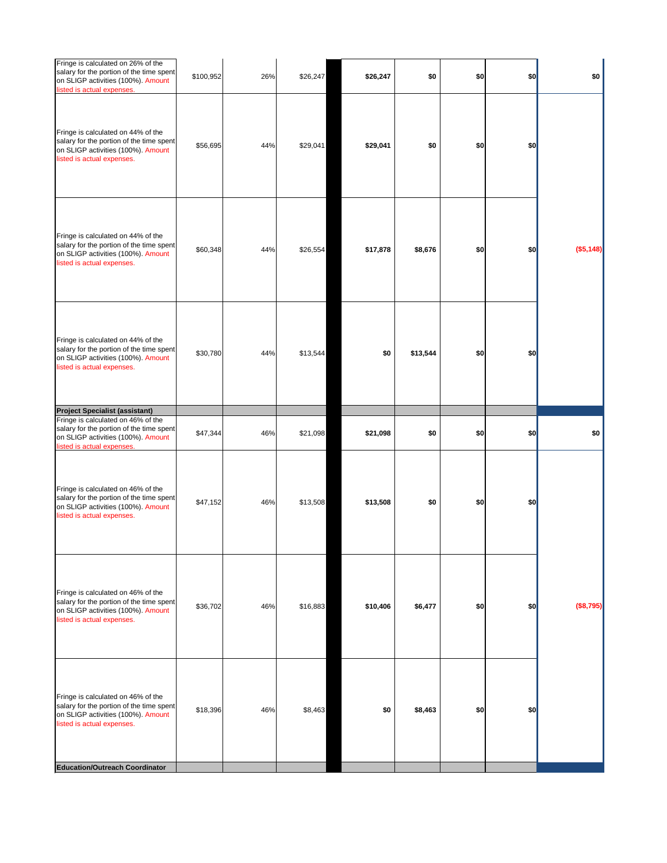| \$0<br>\$0<br>\$0<br>\$0 |          | \$26,247 | \$26,247 | 26% | \$100,952 | Fringe is calculated on 26% of the<br>salary for the portion of the time spent<br>on SLIGP activities (100%). Amount<br>listed is actual expenses. |
|--------------------------|----------|----------|----------|-----|-----------|----------------------------------------------------------------------------------------------------------------------------------------------------|
| \$0<br>\$0<br>\$0        |          | \$29,041 | \$29,041 | 44% | \$56,695  | Fringe is calculated on 44% of the<br>salary for the portion of the time spent<br>on SLIGP activities (100%). Amount<br>listed is actual expenses. |
| (\$5,148)<br>\$0<br>\$0  | \$8,676  | \$17,878 | \$26,554 | 44% | \$60,348  | Fringe is calculated on 44% of the<br>salary for the portion of the time spent<br>on SLIGP activities (100%). Amount<br>listed is actual expenses. |
| \$0<br>\$0               | \$13,544 | \$0      | \$13,544 | 44% | \$30,780  | Fringe is calculated on 44% of the<br>salary for the portion of the time spent<br>on SLIGP activities (100%). Amount<br>listed is actual expenses. |
|                          |          |          |          |     |           | <b>Project Specialist (assistant)</b>                                                                                                              |
| \$0<br>\$0<br>\$0<br>\$0 |          | \$21,098 | \$21,098 | 46% | \$47,344  | Fringe is calculated on 46% of the<br>salary for the portion of the time spent<br>on SLIGP activities (100%). Amount<br>listed is actual expenses. |
| \$0<br>\$0<br>\$0        |          | \$13,508 | \$13,508 | 46% | \$47,152  | Fringe is calculated on 46% of the<br>salary for the portion of the time spent<br>on SLIGP activities (100%). Amount<br>listed is actual expenses. |
| (\$8,795)<br>\$0<br>\$0  | \$6,477  | \$10,406 | \$16,883 | 46% | \$36,702  | Fringe is calculated on 46% of the<br>salary for the portion of the time spent<br>on SLIGP activities (100%). Amount<br>listed is actual expenses. |

| Fringe is calculated on 46% of the<br>salary for the portion of the time spent<br>on SLIGP activities (100%). Amount<br>listed is actual expenses. | \$18,396 | 46% | \$8,463 | \$0 | \$8,463 | \$0 | \$0 |  |
|----------------------------------------------------------------------------------------------------------------------------------------------------|----------|-----|---------|-----|---------|-----|-----|--|
| <b>Education/Outreach Coordinator</b>                                                                                                              |          |     |         |     |         |     |     |  |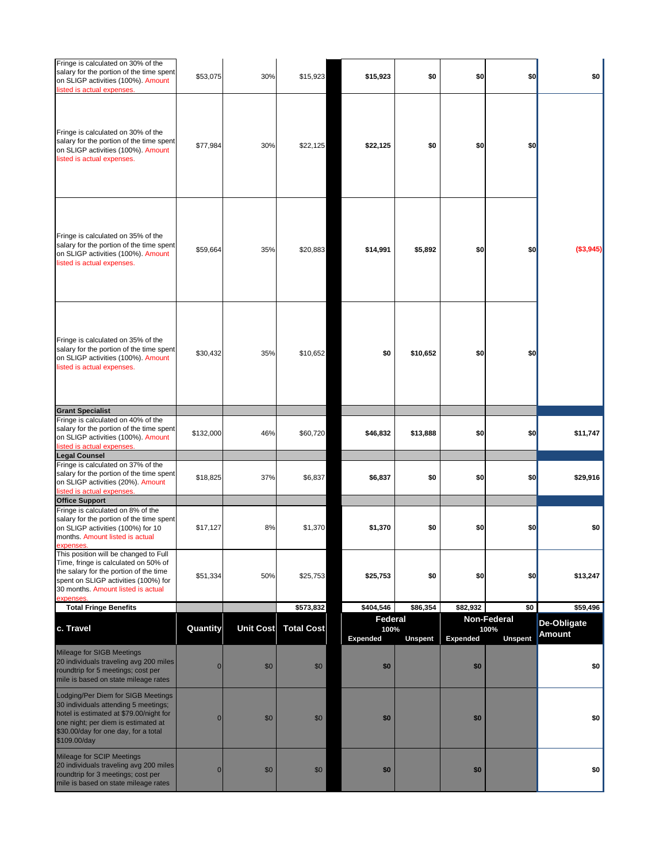| Fringe is calculated on 30% of the<br>salary for the portion of the time spent<br>on SLIGP activities (100%). Amount<br>listed is actual expenses.                                                                   | \$53,075        | 30%              | \$15,923          | \$15,923                                  | \$0            | \$0             | \$0                                          | \$0                                 |
|----------------------------------------------------------------------------------------------------------------------------------------------------------------------------------------------------------------------|-----------------|------------------|-------------------|-------------------------------------------|----------------|-----------------|----------------------------------------------|-------------------------------------|
| Fringe is calculated on 30% of the<br>salary for the portion of the time spent<br>on SLIGP activities (100%). Amount<br>listed is actual expenses.                                                                   | \$77,984        | 30%              | \$22,125          | \$22,125                                  | \$0            | \$0             | \$0                                          |                                     |
| Fringe is calculated on 35% of the<br>salary for the portion of the time spent<br>on SLIGP activities (100%). Amount<br>listed is actual expenses.                                                                   | \$59,664        | 35%              | \$20,883          | \$14,991                                  | \$5,892        | \$0             | \$0                                          | (\$3,945)                           |
| Fringe is calculated on 35% of the<br>salary for the portion of the time spent<br>on SLIGP activities (100%). Amount<br>listed is actual expenses.                                                                   | \$30,432        | 35%              | \$10,652          | \$0                                       | \$10,652       | \$0             | \$0                                          |                                     |
| <b>Grant Specialist</b>                                                                                                                                                                                              |                 |                  |                   |                                           |                |                 |                                              |                                     |
| Fringe is calculated on 40% of the<br>salary for the portion of the time spent<br>on SLIGP activities (100%). Amount<br>listed is actual expenses.<br><b>Legal Counsel</b>                                           | \$132,000       | 46%              | \$60,720          | \$46,832                                  | \$13,888       | \$0             | \$0                                          | \$11,747                            |
| Fringe is calculated on 37% of the<br>salary for the portion of the time spent<br>on SLIGP activities (20%). Amount<br>listed is actual expenses.                                                                    | \$18,825        | 37%              | \$6,837           | \$6,837                                   | \$0            | \$0             | \$0                                          | \$29,916                            |
| <b>Office Support</b>                                                                                                                                                                                                |                 |                  |                   |                                           |                |                 |                                              |                                     |
| Fringe is calculated on 8% of the<br>salary for the portion of the time spent<br>on SLIGP activities (100%) for 10<br>months. Amount listed is actual<br>expenses.                                                   | \$17,127        | 8%               | \$1,370           | \$1,370                                   | \$0            | \$0             | \$0                                          | \$0                                 |
| This position will be changed to Full<br>Time, fringe is calculated on 50% of<br>the salary for the portion of the time<br>spent on SLIGP activities (100%) for<br>30 months. Amount listed is actual<br>expenses.   | \$51,334        | 50%              | \$25,753          | \$25,753                                  | \$0            | \$0             | \$0                                          | \$13,247                            |
| <b>Total Fringe Benefits</b>                                                                                                                                                                                         |                 |                  | \$573,832         | \$404,546                                 | \$86,354       | \$82,932        | \$0                                          | \$59,496                            |
| c. Travel                                                                                                                                                                                                            | <b>Quantity</b> | <b>Unit Cost</b> | <b>Total Cost</b> | <b>Federal</b><br>100%<br><b>Expended</b> | <b>Unspent</b> | <b>Expended</b> | <b>Non-Federal</b><br>100%<br><b>Unspent</b> | <b>De-Obligate</b><br><b>Amount</b> |
| <b>Mileage for SIGB Meetings</b><br>20 individuals traveling avg 200 miles<br>roundtrip for 5 meetings; cost per<br>mile is based on state mileage rates                                                             | $\overline{0}$  | \$0              | \$0               | \$0                                       |                | \$0             |                                              | \$0                                 |
| Lodging/Per Diem for SIGB Meetings<br>30 individuals attending 5 meetings;<br>hotel is estimated at \$79.00/night for<br>one night; per diem is estimated at<br>\$30.00/day for one day, for a total<br>\$109.00/day | $\overline{0}$  | \$0              | \$0               | \$0                                       |                | \$0             |                                              | \$0                                 |
| <b>Mileage for SCIP Meetings</b><br>20 individuals traveling avg 200 miles<br>roundtrip for 3 meetings; cost per<br>mile is based on state mileage rates                                                             | $\overline{0}$  | \$0              | \$0               | \$0                                       |                | \$0             |                                              | \$0                                 |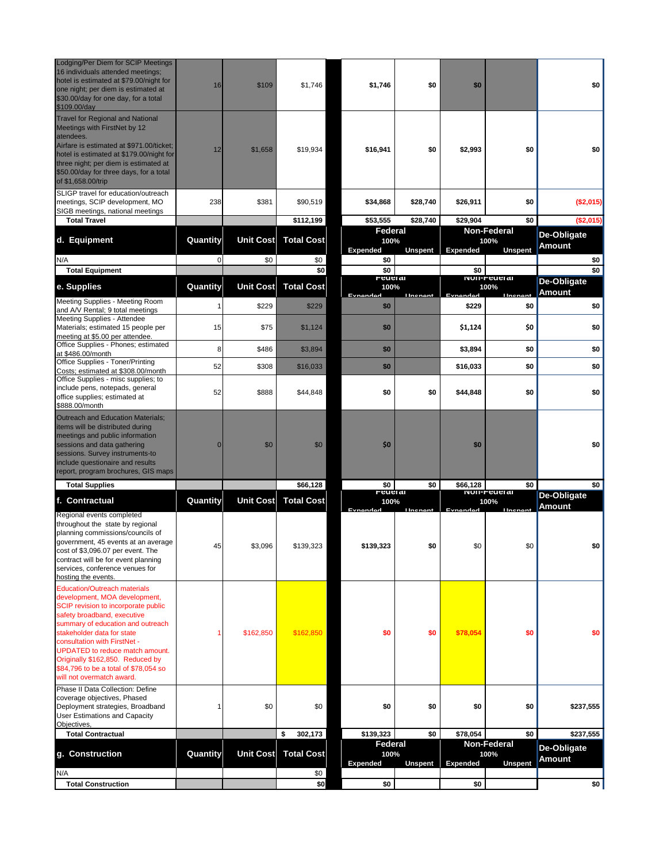| Lodging/Per Diem for SCIP Meetings<br>16 individuals attended meetings;<br>hotel is estimated at \$79.00/night for<br>one night; per diem is estimated at<br>\$30.00/day for one day, for a total<br>\$109.00/day                                                                                                                                                                                 | 16             | \$109            | \$1,746           | \$1,746                                   | \$0             | \$0              |                                              | \$0                                 |
|---------------------------------------------------------------------------------------------------------------------------------------------------------------------------------------------------------------------------------------------------------------------------------------------------------------------------------------------------------------------------------------------------|----------------|------------------|-------------------|-------------------------------------------|-----------------|------------------|----------------------------------------------|-------------------------------------|
| <b>Travel for Regional and National</b><br>Meetings with FirstNet by 12<br>atendees.<br>Airfare is estimated at \$971.00/ticket;<br>hotel is estimated at \$179.00/night for<br>three night; per diem is estimated at<br>\$50.00/day for three days, for a total<br>of \$1,658.00/trip                                                                                                            | 12             | \$1,658          | \$19,934          | \$16,941                                  | \$0             | \$2,993          | \$0                                          | \$0                                 |
| SLIGP travel for education/outreach<br>meetings, SCIP development, MO<br>SIGB meetings, national meetings                                                                                                                                                                                                                                                                                         | 238            | \$381            | \$90,519          | \$34,868                                  | \$28,740        | \$26,911         | \$0                                          | ( \$2,015)                          |
| <b>Total Travel</b>                                                                                                                                                                                                                                                                                                                                                                               |                |                  | \$112,199         | \$53,555                                  | \$28,740        | \$29,904         | \$0                                          | (\$2,015)                           |
| d. Equipment                                                                                                                                                                                                                                                                                                                                                                                      | Quantity       | <b>Unit Cost</b> | <b>Total Cost</b> | <b>Federal</b><br>100%<br><b>Expended</b> | <b>Unspent</b>  | <b>Expended</b>  | <b>Non-Federal</b><br>100%<br><b>Unspent</b> | <b>De-Obligate</b><br><b>Amount</b> |
| N/A<br><b>Total Equipment</b>                                                                                                                                                                                                                                                                                                                                                                     | 0              | \$0              | \$0<br>\$0        | \$0<br>\$0                                |                 | \$0              |                                              | \$0<br>\$0                          |
|                                                                                                                                                                                                                                                                                                                                                                                                   |                |                  |                   | <b>reueral</b>                            |                 |                  | <b>NUIL-LANGINI</b>                          | <b>De-Obligate</b>                  |
| e. Supplies<br>Meeting Supplies - Meeting Room                                                                                                                                                                                                                                                                                                                                                    | Quantity       | <b>Unit Cost</b> | <b>Total Cost</b> | 100%<br>Evnandad                          | <b>Ilnenant</b> | Evnandad         | 100%<br><b>Ilnenant</b>                      | <b>Amount</b>                       |
| and A/V Rental; 9 total meetings<br><b>Meeting Supplies - Attendee</b><br>Materials; estimated 15 people per                                                                                                                                                                                                                                                                                      | 15             | \$229<br>\$75    | \$229<br>\$1,124  | \$0<br>\$0                                |                 | \$229<br>\$1,124 | \$0<br>\$0                                   | \$0<br>\$0                          |
| meeting at \$5.00 per attendee.<br>Office Supplies - Phones; estimated<br>at \$486.00/month                                                                                                                                                                                                                                                                                                       | 8              | \$486            | \$3,894           | \$0                                       |                 | \$3,894          | \$0                                          | \$0                                 |
| Office Supplies - Toner/Printing                                                                                                                                                                                                                                                                                                                                                                  | 52             | \$308            | \$16,033          | \$0                                       |                 | \$16,033         | \$0                                          | \$0                                 |
| Costs; estimated at \$308.00/month<br>Office Supplies - misc supplies; to<br>include pens, notepads, general<br>office supplies; estimated at<br>\$888.00/month                                                                                                                                                                                                                                   | 52             | \$888            | \$44,848          | \$0                                       | \$0             | \$44,848         | \$0                                          | \$0                                 |
| Outreach and Education Materials;<br>items will be distributed during<br>meetings and public information<br>sessions and data gathering<br>sessions. Survey instruments-to<br>include questionaire and results<br>report, program brochures, GIS maps                                                                                                                                             | $\overline{0}$ | \$0              | \$0               | \$0                                       |                 | \$0              |                                              | \$0                                 |
| <b>Total Supplies</b>                                                                                                                                                                                                                                                                                                                                                                             |                |                  | \$66,128          | \$0<br><b>reueral</b>                     | \$0             | \$66,128         | \$0<br><b>NUII-LACIEI</b> SI                 | \$0                                 |
| f. Contractual                                                                                                                                                                                                                                                                                                                                                                                    | Quantity       | <b>Unit Cost</b> | <b>Total Cost</b> | 100%<br>Evnandad                          | <b>Ilnenant</b> | Evnandad         | 100%<br><b>Ilnenant</b>                      | <b>De-Obligate</b><br><b>Amount</b> |
| Regional events completed<br>throughout the state by regional<br>planning commissions/councils of<br>government, 45 events at an average<br>cost of \$3,096.07 per event. The<br>contract will be for event planning<br>services, conference venues for<br>hosting the events.                                                                                                                    | 45             | \$3,096          | \$139,323         | \$139,323                                 | \$0             | \$0              | \$0                                          | \$0                                 |
| <b>Education/Outreach materials</b><br>development, MOA development,<br>SCIP revision to incorporate public<br>safety broadband, executive<br>summary of education and outreach<br>stakeholder data for state<br>consultation with FirstNet -<br><b>UPDATED</b> to reduce match amount.<br>Originally \$162,850. Reduced by<br>\$84,796 to be a total of \$78,054 so<br>will not overmatch award. |                | \$162,850        | \$162,850         | \$0                                       | \$0             | \$78,054         | \$0                                          | \$0                                 |
| Phase II Data Collection: Define<br>coverage objectives, Phased<br>Deployment strategies, Broadband<br><b>User Estimations and Capacity</b><br>Objectives,                                                                                                                                                                                                                                        |                | \$0              | \$0               | \$0                                       | \$0             | \$0              | \$0                                          | \$237,555                           |
| <b>Total Contractual</b>                                                                                                                                                                                                                                                                                                                                                                          |                |                  | 302,173<br>\$     | \$139,323                                 | \$0             | \$78,054         | \$0                                          | \$237,555                           |
| g. Construction<br>N/A                                                                                                                                                                                                                                                                                                                                                                            | Quantity       | <b>Unit Cost</b> | <b>Total Cost</b> | <b>Federal</b><br>100%<br><b>Expended</b> | <b>Unspent</b>  | <b>Expended</b>  | <b>Non-Federal</b><br>100%<br><b>Unspent</b> | <b>De-Obligate</b><br><b>Amount</b> |
| <b>Total Construction</b>                                                                                                                                                                                                                                                                                                                                                                         |                |                  | \$0<br>\$0]       | \$0                                       |                 | \$0              |                                              | \$0                                 |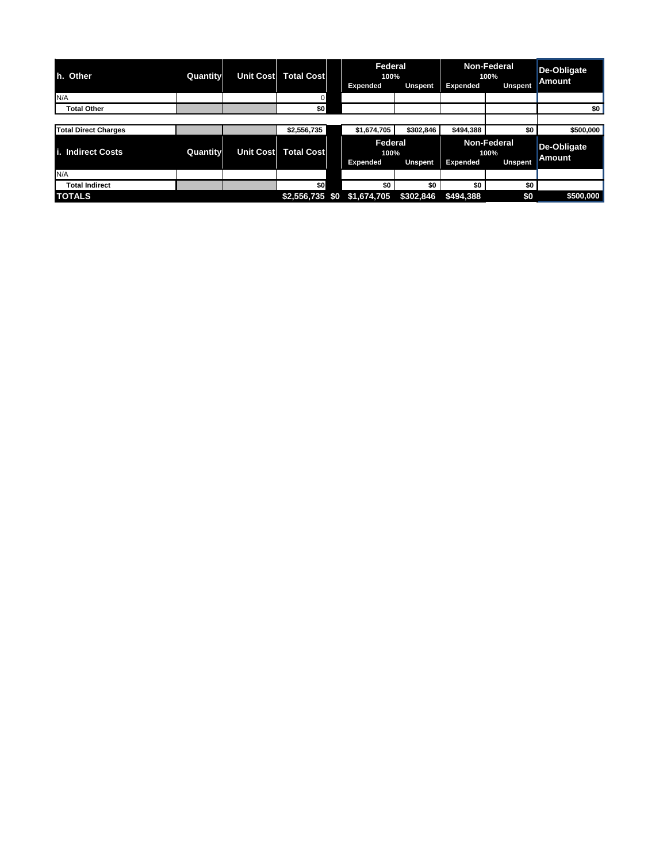| h. Other                    | <b>Quantity</b> | <b>Unit Cost</b> | <b>Total Cost</b> | <b>Federal</b><br>100% |                |                 | <b>Non-Federal</b><br>100% | <b>De-Obligate</b> |
|-----------------------------|-----------------|------------------|-------------------|------------------------|----------------|-----------------|----------------------------|--------------------|
|                             |                 |                  |                   | <b>Expended</b>        | <b>Unspent</b> | <b>Expended</b> | <b>Unspent</b>             | <b>Amount</b>      |
| N/A                         |                 |                  | 0                 |                        |                |                 |                            |                    |
| <b>Total Other</b>          |                 |                  | \$0               |                        |                |                 |                            | \$0                |
|                             |                 |                  |                   |                        |                |                 |                            |                    |
| <b>Total Direct Charges</b> |                 |                  | \$2,556,735       | \$1,674,705            | \$302,846      | \$494,388       | \$0 <sub>1</sub>           | \$500,000          |
| i. Indirect Costs           | Quantity        | <b>Unit Cost</b> | <b>Total Cost</b> | <b>Federal</b><br>100% |                |                 | <b>Non-Federal</b><br>100% | <b>De-Obligate</b> |
|                             |                 |                  |                   | <b>Expended</b>        | <b>Unspent</b> | <b>Expended</b> | <b>Unspent</b>             | <b>Amount</b>      |
| N/A                         |                 |                  |                   |                        |                |                 |                            |                    |
| <b>Total Indirect</b>       |                 |                  | \$0               | \$0                    | \$0            | \$0             | \$0                        |                    |
| <b>TOTALS</b>               |                 |                  | $$2,556,735$ \$0  | \$1,674,705            | \$302,846      | \$494,388       | \$0                        | \$500,000          |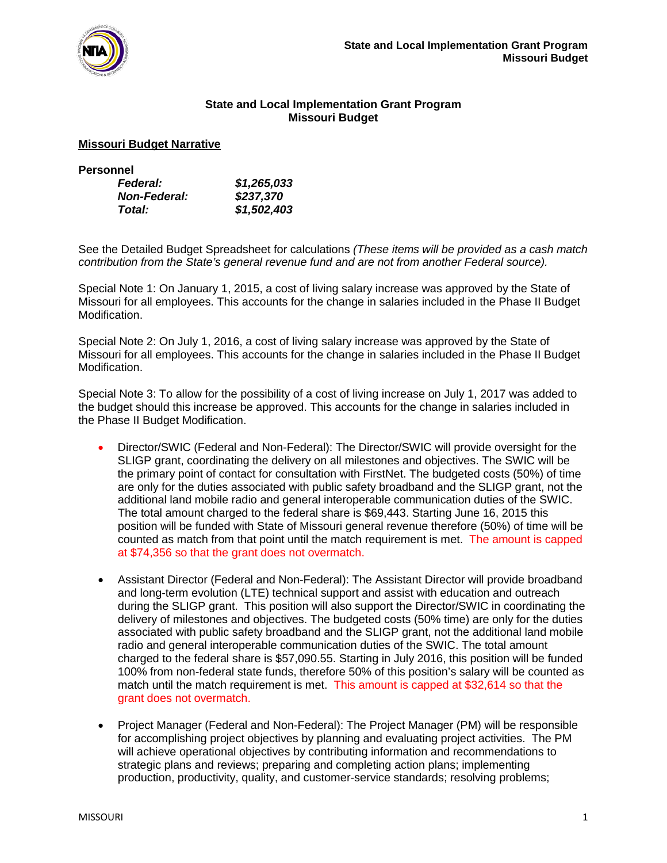

### **State and Local Implementation Grant Program Missouri Budget**

#### **Missouri Budget Narrative**

| <b>Personnel</b>    |             |
|---------------------|-------------|
| <b>Federal:</b>     | \$1,265,033 |
| <b>Non-Federal:</b> | \$237,370   |
| Total:              | \$1,502,403 |

See the Detailed Budget Spreadsheet for calculations *(These items will be provided as a cash match contribution from the State's general revenue fund and are not from another Federal source).*

Special Note 1: On January 1, 2015, a cost of living salary increase was approved by the State of Missouri for all employees. This accounts for the change in salaries included in the Phase II Budget Modification.

Special Note 2: On July 1, 2016, a cost of living salary increase was approved by the State of Missouri for all employees. This accounts for the change in salaries included in the Phase II Budget Modification.

Special Note 3: To allow for the possibility of a cost of living increase on July 1, 2017 was added to the budget should this increase be approved. This accounts for the change in salaries included in the Phase II Budget Modification.

- Director/SWIC (Federal and Non-Federal): The Director/SWIC will provide oversight for the SLIGP grant, coordinating the delivery on all milestones and objectives. The SWIC will be the primary point of contact for consultation with FirstNet. The budgeted costs (50%) of time are only for the duties associated with public safety broadband and the SLIGP grant, not the additional land mobile radio and general interoperable communication duties of the SWIC. The total amount charged to the federal share is \$69,443. Starting June 16, 2015 this position will be funded with State of Missouri general revenue therefore (50%) of time will be counted as match from that point until the match requirement is met. The amount is capped at \$74,356 so that the grant does not overmatch.
- Assistant Director (Federal and Non-Federal): The Assistant Director will provide broadband and long-term evolution (LTE) technical support and assist with education and outreach during the SLIGP grant. This position will also support the Director/SWIC in coordinating the delivery of milestones and objectives. The budgeted costs (50% time) are only for the duties associated with public safety broadband and the SLIGP grant, not the additional land mobile radio and general interoperable communication duties of the SWIC. The total amount charged to the federal share is \$57,090.55. Starting in July 2016, this position will be funded 100% from non-federal state funds, therefore 50% of this position's salary will be counted as match until the match requirement is met. This amount is capped at \$32,614 so that the grant does not overmatch.
- Project Manager (Federal and Non-Federal): The Project Manager (PM) will be responsible for accomplishing project objectives by planning and evaluating project activities. The PM will achieve operational objectives by contributing information and recommendations to strategic plans and reviews; preparing and completing action plans; implementing production, productivity, quality, and customer-service standards; resolving problems;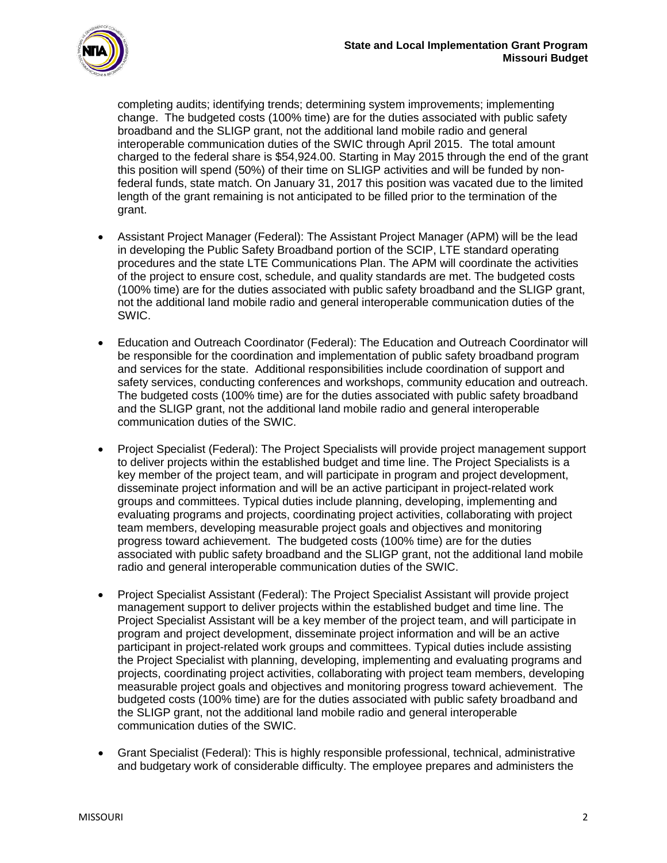

completing audits; identifying trends; determining system improvements; implementing change. The budgeted costs (100% time) are for the duties associated with public safety broadband and the SLIGP grant, not the additional land mobile radio and general interoperable communication duties of the SWIC through April 2015. The total amount charged to the federal share is \$54,924.00. Starting in May 2015 through the end of the grant this position will spend (50%) of their time on SLIGP activities and will be funded by nonfederal funds, state match. On January 31, 2017 this position was vacated due to the limited length of the grant remaining is not anticipated to be filled prior to the termination of the grant.

- Assistant Project Manager (Federal): The Assistant Project Manager (APM) will be the lead in developing the Public Safety Broadband portion of the SCIP, LTE standard operating procedures and the state LTE Communications Plan. The APM will coordinate the activities of the project to ensure cost, schedule, and quality standards are met. The budgeted costs (100% time) are for the duties associated with public safety broadband and the SLIGP grant, not the additional land mobile radio and general interoperable communication duties of the SWIC.
- Education and Outreach Coordinator (Federal): The Education and Outreach Coordinator will be responsible for the coordination and implementation of public safety broadband program and services for the state. Additional responsibilities include coordination of support and safety services, conducting conferences and workshops, community education and outreach. The budgeted costs (100% time) are for the duties associated with public safety broadband and the SLIGP grant, not the additional land mobile radio and general interoperable communication duties of the SWIC.
- Project Specialist (Federal): The Project Specialists will provide project management support to deliver projects within the established budget and time line. The Project Specialists is a key member of the project team, and will participate in program and project development, disseminate project information and will be an active participant in project-related work groups and committees. Typical duties include planning, developing, implementing and evaluating programs and projects, coordinating project activities, collaborating with project team members, developing measurable project goals and objectives and monitoring progress toward achievement. The budgeted costs (100% time) are for the duties associated with public safety broadband and the SLIGP grant, not the additional land mobile radio and general interoperable communication duties of the SWIC.
- Project Specialist Assistant (Federal): The Project Specialist Assistant will provide project management support to deliver projects within the established budget and time line. The Project Specialist Assistant will be a key member of the project team, and will participate in program and project development, disseminate project information and will be an active participant in project-related work groups and committees. Typical duties include assisting the Project Specialist with planning, developing, implementing and evaluating programs and projects, coordinating project activities, collaborating with project team members, developing measurable project goals and objectives and monitoring progress toward achievement. The budgeted costs (100% time) are for the duties associated with public safety broadband and the SLIGP grant, not the additional land mobile radio and general interoperable communication duties of the SWIC.
- Grant Specialist (Federal): This is highly responsible professional, technical, administrative and budgetary work of considerable difficulty. The employee prepares and administers the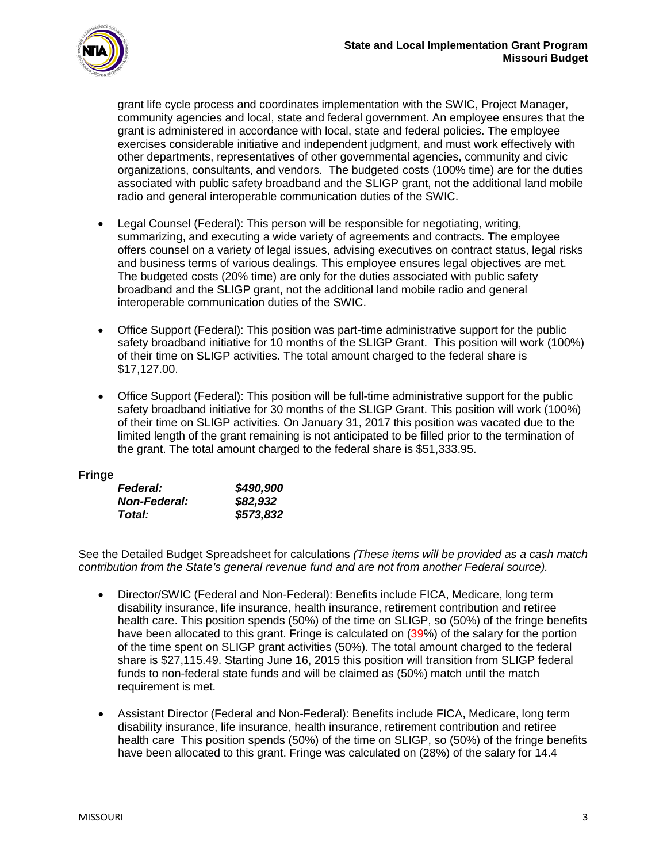

grant life cycle process and coordinates implementation with the SWIC, Project Manager, community agencies and local, state and federal government. An employee ensures that the grant is administered in accordance with local, state and federal policies. The employee exercises considerable initiative and independent judgment, and must work effectively with other departments, representatives of other governmental agencies, community and civic organizations, consultants, and vendors. The budgeted costs (100% time) are for the duties associated with public safety broadband and the SLIGP grant, not the additional land mobile radio and general interoperable communication duties of the SWIC.

- Legal Counsel (Federal): This person will be responsible for negotiating, writing, summarizing, and executing a wide variety of agreements and contracts. The employee offers counsel on a variety of legal issues, advising executives on contract status, legal risks and business terms of various dealings. This employee ensures legal objectives are met. The budgeted costs (20% time) are only for the duties associated with public safety broadband and the SLIGP grant, not the additional land mobile radio and general interoperable communication duties of the SWIC.
- Office Support (Federal): This position was part-time administrative support for the public safety broadband initiative for 10 months of the SLIGP Grant. This position will work (100%) of their time on SLIGP activities. The total amount charged to the federal share is \$17,127.00.
- Office Support (Federal): This position will be full-time administrative support for the public safety broadband initiative for 30 months of the SLIGP Grant. This position will work (100%) of their time on SLIGP activities. On January 31, 2017 this position was vacated due to the limited length of the grant remaining is not anticipated to be filled prior to the termination of the grant. The total amount charged to the federal share is \$51,333.95.

#### **Fringe**

| <i><b>Federal:</b></i> | \$490,900 |
|------------------------|-----------|
| <b>Non-Federal:</b>    | \$82,932  |
| Total:                 | \$573,832 |

See the Detailed Budget Spreadsheet for calculations *(These items will be provided as a cash match contribution from the State's general revenue fund and are not from another Federal source).*

- Director/SWIC (Federal and Non-Federal): Benefits include FICA, Medicare, long term disability insurance, life insurance, health insurance, retirement contribution and retiree health care. This position spends (50%) of the time on SLIGP, so (50%) of the fringe benefits have been allocated to this grant. Fringe is calculated on (39%) of the salary for the portion of the time spent on SLIGP grant activities (50%). The total amount charged to the federal share is \$27,115.49. Starting June 16, 2015 this position will transition from SLIGP federal funds to non-federal state funds and will be claimed as (50%) match until the match requirement is met.
- Assistant Director (Federal and Non-Federal): Benefits include FICA, Medicare, long term disability insurance, life insurance, health insurance, retirement contribution and retiree health care This position spends (50%) of the time on SLIGP, so (50%) of the fringe benefits have been allocated to this grant. Fringe was calculated on (28%) of the salary for 14.4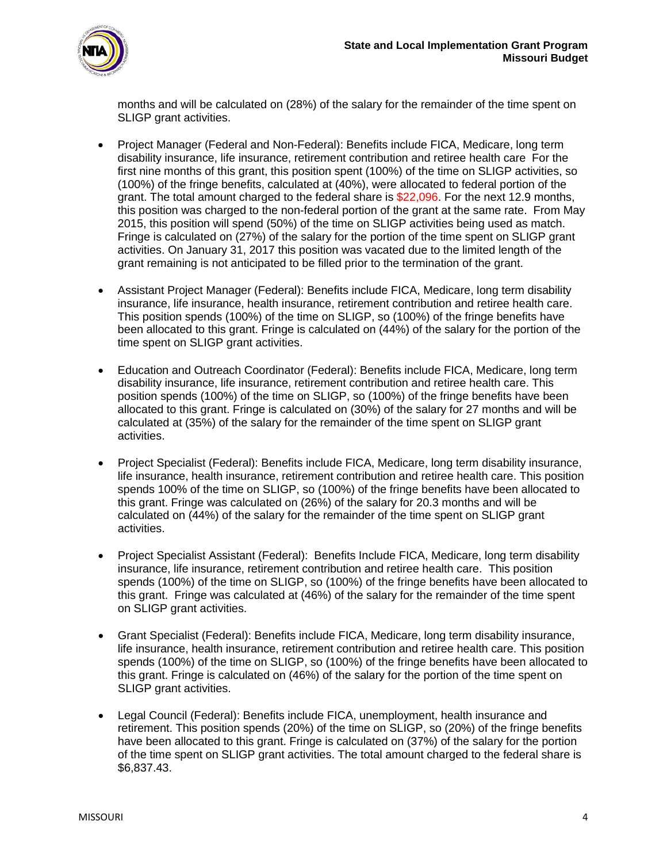

months and will be calculated on (28%) of the salary for the remainder of the time spent on SLIGP grant activities.

- Project Manager (Federal and Non-Federal): Benefits include FICA, Medicare, long term disability insurance, life insurance, retirement contribution and retiree health care For the first nine months of this grant, this position spent (100%) of the time on SLIGP activities, so (100%) of the fringe benefits, calculated at (40%), were allocated to federal portion of the grant. The total amount charged to the federal share is \$22,096. For the next 12.9 months, this position was charged to the non-federal portion of the grant at the same rate. From May 2015, this position will spend (50%) of the time on SLIGP activities being used as match. Fringe is calculated on (27%) of the salary for the portion of the time spent on SLIGP grant activities. On January 31, 2017 this position was vacated due to the limited length of the grant remaining is not anticipated to be filled prior to the termination of the grant.
- Assistant Project Manager (Federal): Benefits include FICA, Medicare, long term disability insurance, life insurance, health insurance, retirement contribution and retiree health care. This position spends (100%) of the time on SLIGP, so (100%) of the fringe benefits have been allocated to this grant. Fringe is calculated on (44%) of the salary for the portion of the time spent on SLIGP grant activities.
- Education and Outreach Coordinator (Federal): Benefits include FICA, Medicare, long term disability insurance, life insurance, retirement contribution and retiree health care. This position spends (100%) of the time on SLIGP, so (100%) of the fringe benefits have been allocated to this grant. Fringe is calculated on (30%) of the salary for 27 months and will be calculated at (35%) of the salary for the remainder of the time spent on SLIGP grant activities.
- Project Specialist (Federal): Benefits include FICA, Medicare, long term disability insurance, life insurance, health insurance, retirement contribution and retiree health care. This position spends 100% of the time on SLIGP, so (100%) of the fringe benefits have been allocated to this grant. Fringe was calculated on (26%) of the salary for 20.3 months and will be calculated on (44%) of the salary for the remainder of the time spent on SLIGP grant activities.
- Project Specialist Assistant (Federal): Benefits Include FICA, Medicare, long term disability insurance, life insurance, retirement contribution and retiree health care. This position spends (100%) of the time on SLIGP, so (100%) of the fringe benefits have been allocated to this grant. Fringe was calculated at (46%) of the salary for the remainder of the time spent on SLIGP grant activities.
- Grant Specialist (Federal): Benefits include FICA, Medicare, long term disability insurance, life insurance, health insurance, retirement contribution and retiree health care. This position spends (100%) of the time on SLIGP, so (100%) of the fringe benefits have been allocated to this grant. Fringe is calculated on (46%) of the salary for the portion of the time spent on SLIGP grant activities.
- Legal Council (Federal): Benefits include FICA, unemployment, health insurance and retirement. This position spends (20%) of the time on SLIGP, so (20%) of the fringe benefits have been allocated to this grant. Fringe is calculated on (37%) of the salary for the portion of the time spent on SLIGP grant activities. The total amount charged to the federal share is \$6,837.43.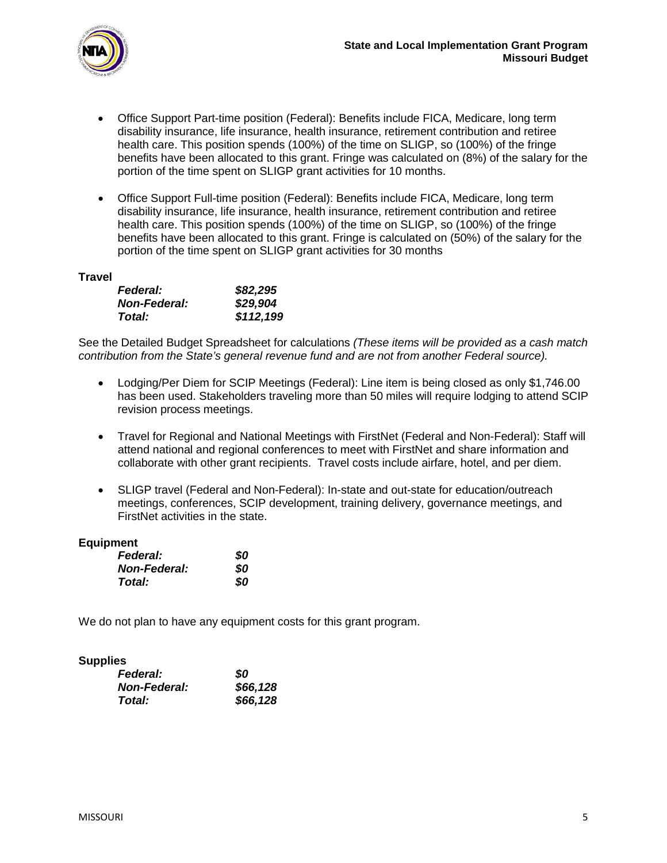

- Office Support Part-time position (Federal): Benefits include FICA, Medicare, long term disability insurance, life insurance, health insurance, retirement contribution and retiree health care. This position spends (100%) of the time on SLIGP, so (100%) of the fringe benefits have been allocated to this grant. Fringe was calculated on (8%) of the salary for the portion of the time spent on SLIGP grant activities for 10 months.
- Office Support Full-time position (Federal): Benefits include FICA, Medicare, long term disability insurance, life insurance, health insurance, retirement contribution and retiree health care. This position spends (100%) of the time on SLIGP, so (100%) of the fringe benefits have been allocated to this grant. Fringe is calculated on (50%) of the salary for the portion of the time spent on SLIGP grant activities for 30 months

#### **Travel**

| <b>Federal:</b>     | \$82,295  |
|---------------------|-----------|
| <b>Non-Federal:</b> | \$29,904  |
| Total:              | \$112,199 |

See the Detailed Budget Spreadsheet for calculations *(These items will be provided as a cash match contribution from the State's general revenue fund and are not from another Federal source).*

- Lodging/Per Diem for SCIP Meetings (Federal): Line item is being closed as only \$1,746.00 has been used. Stakeholders traveling more than 50 miles will require lodging to attend SCIP revision process meetings.
- Travel for Regional and National Meetings with FirstNet (Federal and Non-Federal): Staff will attend national and regional conferences to meet with FirstNet and share information and collaborate with other grant recipients. Travel costs include airfare, hotel, and per diem.
- SLIGP travel (Federal and Non-Federal): In-state and out-state for education/outreach meetings, conferences, SCIP development, training delivery, governance meetings, and FirstNet activities in the state.

#### **Equipment**

| <b>Federal:</b>     | 80 |
|---------------------|----|
| <b>Non-Federal:</b> | 80 |
| Total:              | 80 |

We do not plan to have any equipment costs for this grant program.

#### **Supplies**

| <b>Federal:</b>     | 80       |
|---------------------|----------|
| <b>Non-Federal:</b> | \$66,128 |
| Total:              | \$66,128 |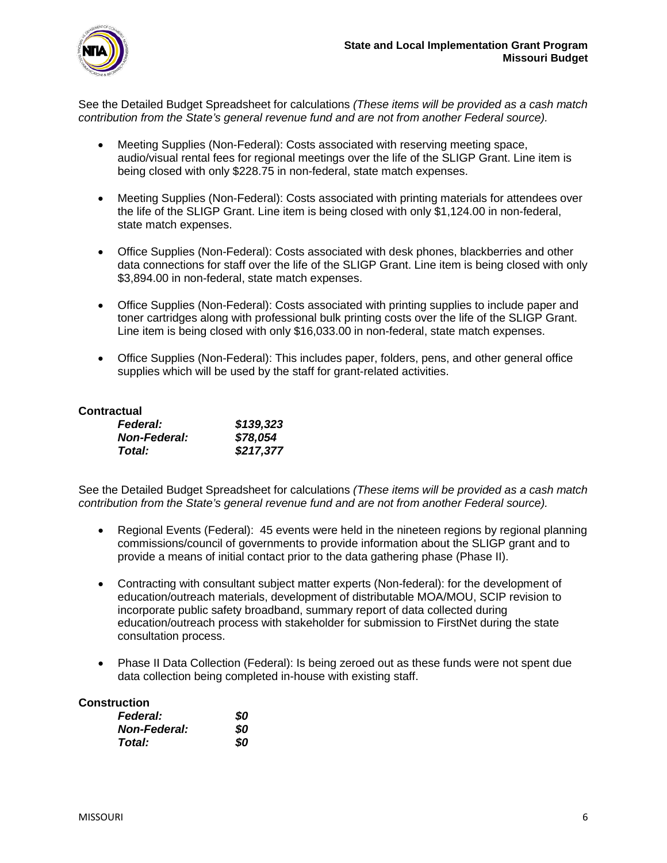

See the Detailed Budget Spreadsheet for calculations *(These items will be provided as a cash match contribution from the State's general revenue fund and are not from another Federal source).*

- Meeting Supplies (Non-Federal): Costs associated with reserving meeting space, audio/visual rental fees for regional meetings over the life of the SLIGP Grant. Line item is being closed with only \$228.75 in non-federal, state match expenses.
- Meeting Supplies (Non-Federal): Costs associated with printing materials for attendees over the life of the SLIGP Grant. Line item is being closed with only \$1,124.00 in non-federal, state match expenses.
- Office Supplies (Non-Federal): Costs associated with desk phones, blackberries and other data connections for staff over the life of the SLIGP Grant. Line item is being closed with only \$3,894.00 in non-federal, state match expenses.
- Office Supplies (Non-Federal): Costs associated with printing supplies to include paper and toner cartridges along with professional bulk printing costs over the life of the SLIGP Grant. Line item is being closed with only \$16,033.00 in non-federal, state match expenses.
- Office Supplies (Non-Federal): This includes paper, folders, pens, and other general office supplies which will be used by the staff for grant-related activities.

#### **Contractual**

| <b>Federal:</b>     | \$139,323 |
|---------------------|-----------|
| <b>Non-Federal:</b> | \$78,054  |
| Total:              | \$217,377 |

See the Detailed Budget Spreadsheet for calculations *(These items will be provided as a cash match contribution from the State's general revenue fund and are not from another Federal source).*

- Regional Events (Federal): 45 events were held in the nineteen regions by regional planning commissions/council of governments to provide information about the SLIGP grant and to provide a means of initial contact prior to the data gathering phase (Phase II).
- Contracting with consultant subject matter experts (Non-federal): for the development of education/outreach materials, development of distributable MOA/MOU, SCIP revision to incorporate public safety broadband, summary report of data collected during education/outreach process with stakeholder for submission to FirstNet during the state consultation process.
- Phase II Data Collection (Federal): Is being zeroed out as these funds were not spent due data collection being completed in-house with existing staff.

#### **Construction**

| <b>Federal:</b>     | 80  |
|---------------------|-----|
| <b>Non-Federal:</b> | 80  |
| Total:              | SO. |